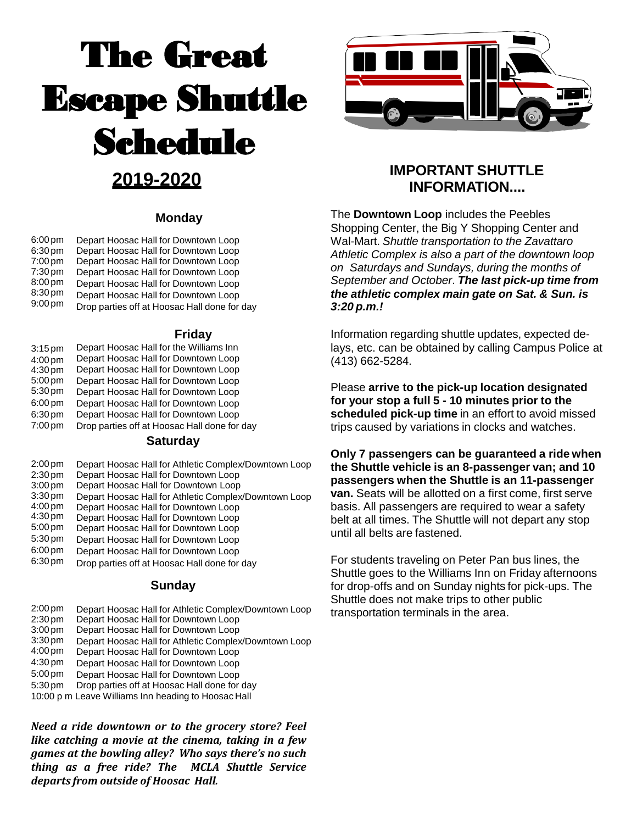# The Great Escape Shuttle Schedule



# **2019-2020**

### **Monday**

6:00 pm 6:30 pm 7:00 pm 7:30 pm 8:00 pm 8:30 pm 9:00 pm Depart Hoosac Hall for Downtown Loop Depart Hoosac Hall for Downtown Loop Depart Hoosac Hall for Downtown Loop Depart Hoosac Hall for Downtown Loop Depart Hoosac Hall for Downtown Loop Depart Hoosac Hall for Downtown Loop Drop parties off at Hoosac Hall done for day

## **Friday**

3:15 pm 4:00 pm 4:30 pm 5:00 pm 5:30 pm 6:00 pm 6:30 pm 7:00 pm Depart Hoosac Hall for the Williams Inn Depart Hoosac Hall for Downtown Loop Depart Hoosac Hall for Downtown Loop Depart Hoosac Hall for Downtown Loop Depart Hoosac Hall for Downtown Loop Depart Hoosac Hall for Downtown Loop Depart Hoosac Hall for Downtown Loop Drop parties off at Hoosac Hall done for day

### **Saturday**

- 2:00 pm Depart Hoosac Hall for Athletic Complex/Downtown Loop
- 2:30 pm Depart Hoosac Hall for Downtown Loop
- 3:00 pm Depart Hoosac Hall for Downtown Loop
- 3:30 pm 4:00 pm Depart Hoosac Hall for Athletic Complex/Downtown Loop
- 4:30 pm Depart Hoosac Hall for Downtown Loop
- 5:00 pm Depart Hoosac Hall for Downtown Loop Depart Hoosac Hall for Downtown Loop
- 5:30 pm Depart Hoosac Hall for Downtown Loop
- 6:00 pm Depart Hoosac Hall for Downtown Loop
- 6:30 pm Drop parties off at Hoosac Hall done for day

## **Sunday**

- 2:00 pm 2:30 pm Depart Hoosac Hall for Athletic Complex/Downtown Loop
- 3:00 pm Depart Hoosac Hall for Downtown Loop
- 3:30 pm Depart Hoosac Hall for Downtown Loop Depart Hoosac Hall for Athletic Complex/Downtown Loop
- 4:00 pm Depart Hoosac Hall for Downtown Loop
- 4:30 pm Depart Hoosac Hall for Downtown Loop
- 5:00 pm Depart Hoosac Hall for Downtown Loop
- 5:30 pm Drop parties off at Hoosac Hall done for day
- 10:00 p m Leave Williams Inn heading to Hoosac Hall

*Need a ride downtown or to the grocery store? Feel like catching a movie at the cinema, taking in a few games at the bowling alley? Who says there's no such thing as a free ride? The MCLA Shuttle Service departs from outside of Hoosac Hall.*

## **IMPORTANT SHUTTLE INFORMATION....**

The **Downtown Loop** includes the Peebles Shopping Center, the Big Y Shopping Center and Wal-Mart. *Shuttle transportation to the Zavattaro Athletic Complex is also a part of the downtown loop on Saturdays and Sundays, during the months of September and October*. *The last pick-up time from the athletic complex main gate on Sat. & Sun. is 3:20 p.m.!*

Information regarding shuttle updates, expected delays, etc. can be obtained by calling Campus Police at (413) 662-5284.

Please **arrive to the pick-up location designated for your stop a full 5 - 10 minutes prior to the scheduled pick-up time** in an effort to avoid missed trips caused by variations in clocks and watches.

**Only 7 passengers can be guaranteed a ride when the Shuttle vehicle is an 8-passenger van; and 10 passengers when the Shuttle is an 11-passenger van.** Seats will be allotted on a first come, first serve basis. All passengers are required to wear a safety belt at all times. The Shuttle will not depart any stop until all belts are fastened.

For students traveling on Peter Pan bus lines, the Shuttle goes to the Williams Inn on Friday afternoons for drop-offs and on Sunday nights for pick-ups. The Shuttle does not make trips to other public transportation terminals in the area.